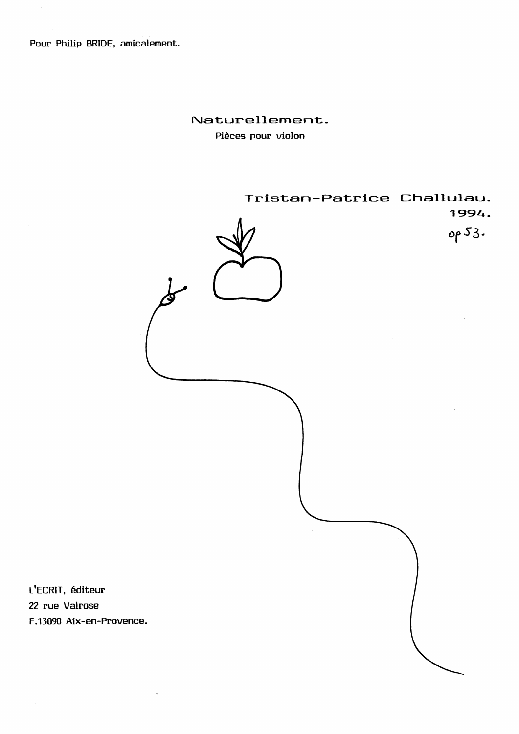Pour Philip BRIDE, amicalement.

## Naturellement. Pièces pour violon

Tristan-Patrice Challulau. 1994. op 53. L'ECRIT, éditeur 22 rue Valrose F.13090 Aix-en-Provence.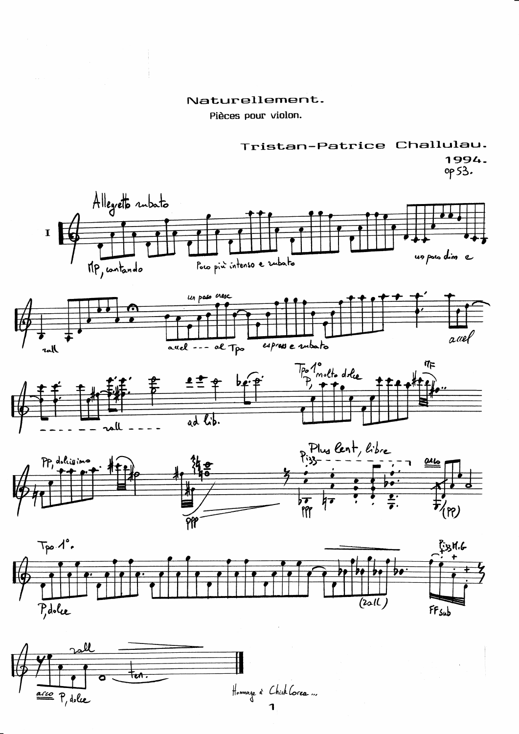## Naturellement.

Pièces pour violon.



1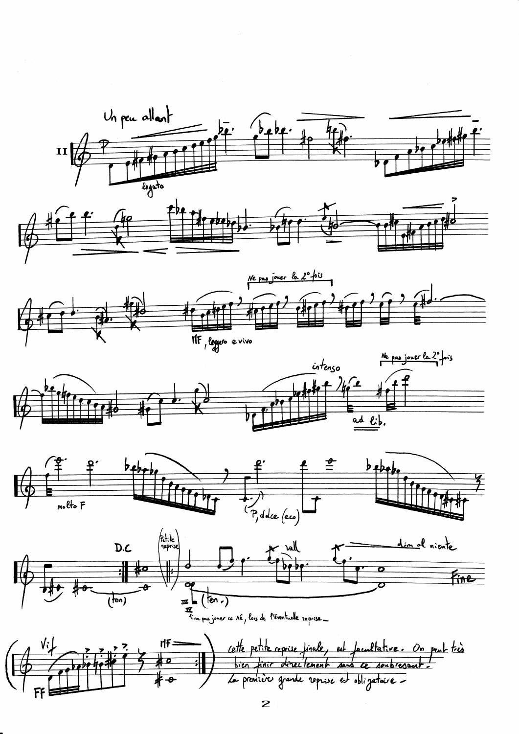

 $\overline{\mathbf{c}}$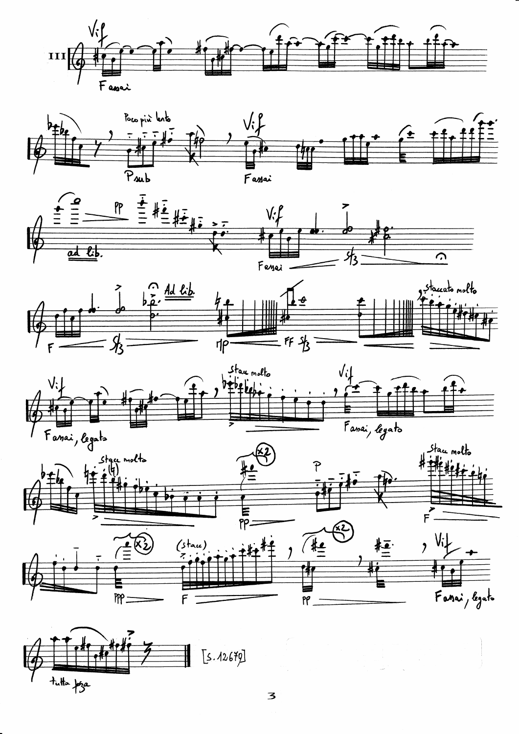











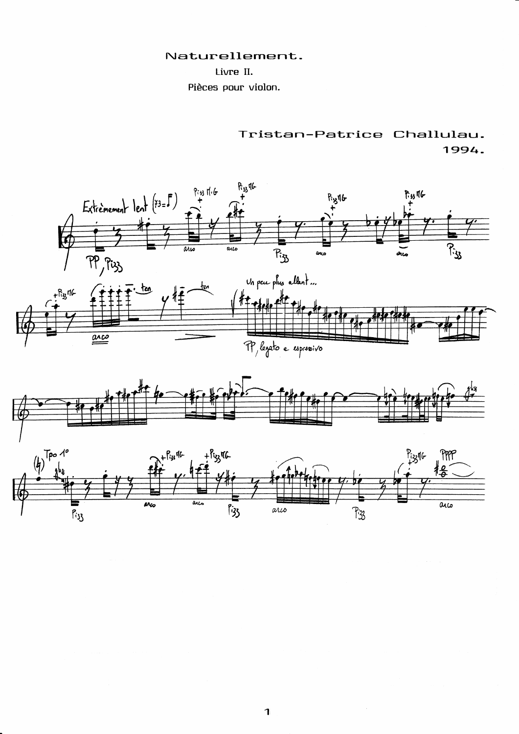## Naturellement.

## Livre II.

Pièces pour violon.

Tristan-Patrice Challulau. 1994.





 $\mathbf{I}$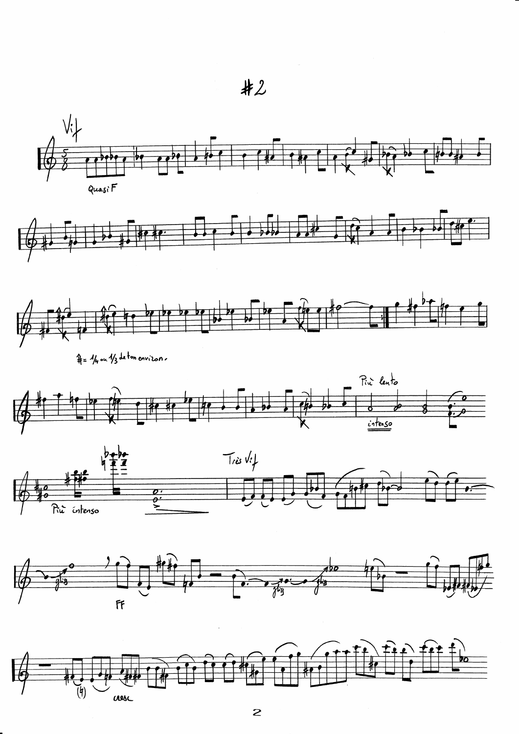$#2$ 



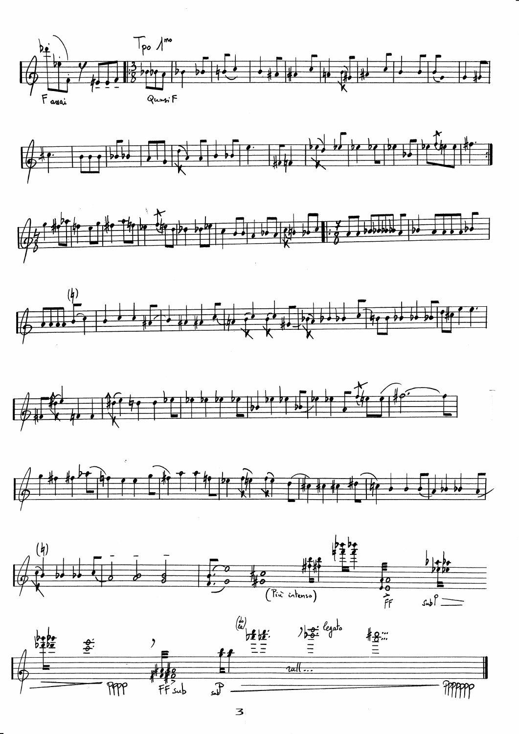













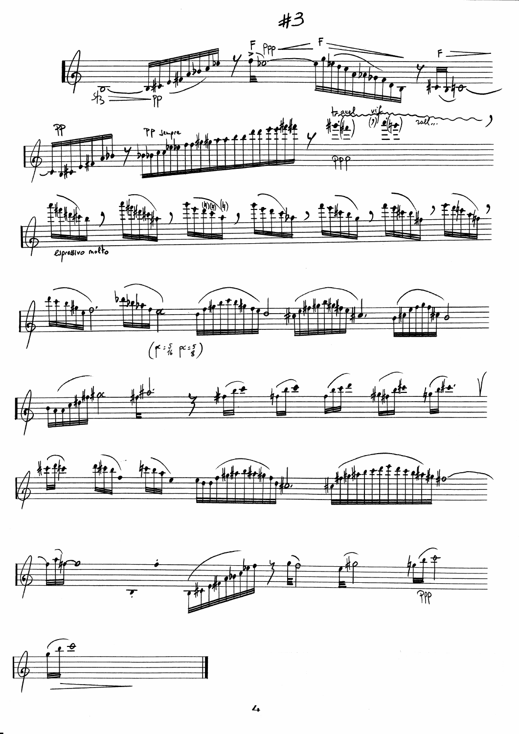